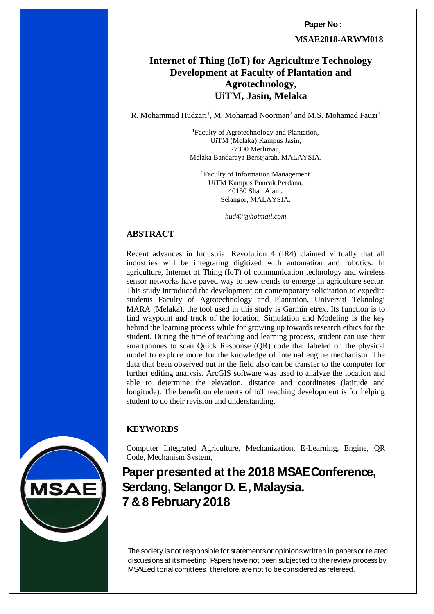**Paper No :** 

 **MSAE2018-ARWM018**

# **Internet of Thing (IoT) for Agriculture Technology Development at Faculty of Plantation and Agrotechnology, UiTM, Jasin, Melaka**

R. Mohammad Hudzari<sup>1</sup>, M. Mohamad Noorman<sup>2</sup> and M.S. Mohamad Fauzi<sup>1</sup>

<sup>1</sup>Faculty of Agrotechnology and Plantation, UiTM (Melaka) Kampus Jasin, 77300 Merlimau, Melaka Bandaraya Bersejarah, MALAYSIA.

<sup>2</sup>Faculty of Information Management UiTM Kampus Puncak Perdana, 40150 Shah Alam, Selangor, MALAYSIA.

*hud47@hotmail.com*

#### **ABSTRACT**

Recent advances in Industrial Revolution 4 (IR4) claimed virtually that all industries will be integrating digitized with automation and robotics. In agriculture, Internet of Thing (IoT) of communication technology and wireless sensor networks have paved way to new trends to emerge in agriculture sector. This study introduced the development on contemporary solicitation to expedite students Faculty of Agrotechnology and Plantation, Universiti Teknologi MARA (Melaka), the tool used in this study is Garmin etrex. Its function is to find waypoint and track of the location. Simulation and Modeling is the key behind the learning process while for growing up towards research ethics for the student. During the time of teaching and learning process, student can use their smartphones to scan Quick Response (QR) code that labeled on the physical model to explore more for the knowledge of internal engine mechanism. The data that been observed out in the field also can be transfer to the computer for further editing analysis. ArcGIS software was used to analyze the location and able to determine the elevation, distance and coordinates (latitude and longitude). The benefit on elements of IoT teaching development is for helping student to do their revision and understanding.

#### **KEYWORDS**

Computer Integrated Agriculture, Mechanization, E-Learning, Engine, QR Code, Mechanism System,

**Paper presented at the 2018 MSAE Conference, Serdang, Selangor D. E., Malaysia. 7 & 8 February 2018**

*MSAE Conference, Serdang, Selangor D.E.* MSAE editorial comittees ; therefore, are not to be considered as refereed. The society is not responsible for statements or opinions written in papers or related discussions at its meeting. Papers have not been subjected to the review process by



*7 & 8 February 2018 ISBN 978-967-16145*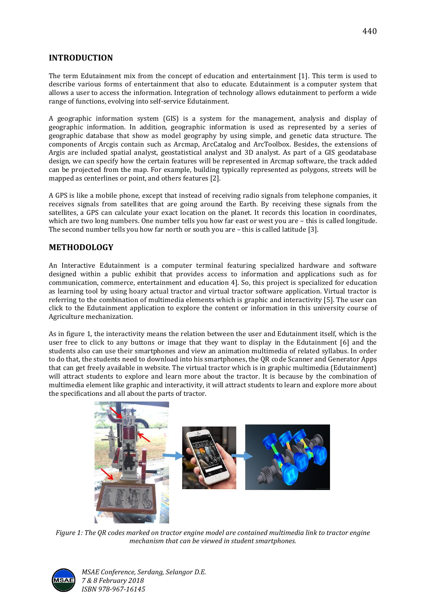### **INTRODUCTION**

The term Edutainment mix from the concept of education and entertainment [1]. This term is used to describe various forms of entertainment that also to educate. Edutainment is a computer system that allows a user to access the information. Integration of technology allows edutainment to perform a wide range of functions, evolving into self-service Edutainment.

A geographic information system (GIS) is a system for the management, analysis and display of geographic information. In addition, geographic information is used as represented by a series of geographic database that show as model geography by using simple, and genetic data structure. The components of Arcgis contain such as Arcmap, ArcCatalog and ArcToolbox. Besides, the extensions of Argis are included spatial analyst, geostatistical analyst and 3D analyst. As part of a GIS geodatabase design, we can specify how the certain features will be represented in Arcmap software, the track added can be projected from the map. For example, building typically represented as polygons, streets will be mapped as centerlines or point, and others features [2].

A GPS is like a mobile phone, except that instead of receiving radio signals from telephone companies, it receives signals from satellites that are going around the Earth. By receiving these signals from the satellites, a GPS can calculate your exact location on the planet. It records this location in coordinates, which are two long numbers. One number tells you how far east or west you are – this is called longitude. The second number tells you how far north or south you are – this is called latitude [3].

#### **METHODOLOGY**

An Interactive Edutainment is a computer terminal featuring specialized hardware and software designed within a public exhibit that provides access to information and applications such as for communication, commerce, entertainment and education 4]. So, this project is specialized for education as learning tool by using hoary actual tractor and virtual tractor software application. Virtual tractor is referring to the combination of multimedia elements which is graphic and interactivity [5]. The user can click to the Edutainment application to explore the content or information in this university course of Agriculture mechanization.

As in figure 1, the interactivity means the relation between the user and Edutainment itself, which is the user free to click to any buttons or image that they want to display in the Edutainment [6] and the students also can use their smartphones and view an animation multimedia of related syllabus. In order to do that, the students need to download into his smartphones, the QR code Scanner and Generator Apps that can get freely available in website. The virtual tractor which is in graphic multimedia (Edutainment) will attract students to explore and learn more about the tractor. It is because by the combination of multimedia element like graphic and interactivity, it will attract students to learn and explore more about the specifications and all about the parts of tractor.



*Figure 1: The QR codes marked on tractor engine model are contained multimedia link to tractor engine mechanism that can be viewed in student smartphones.*



*MSAE Conference, Serdang, Selangor D.E. 7 & 8 February 2018 ISBN 978-967-16145*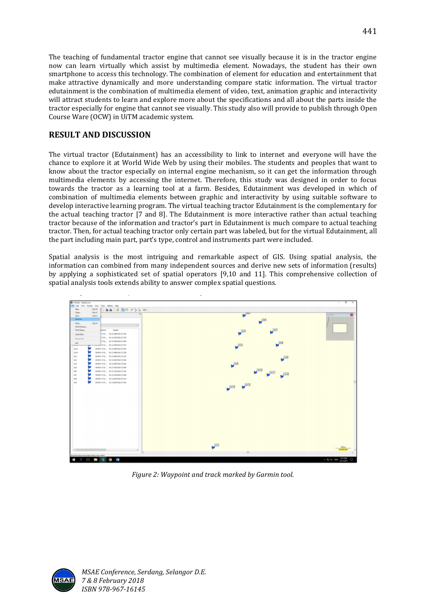The teaching of fundamental tractor engine that cannot see visually because it is in the tractor engine now can learn virtually which assist by multimedia element. Nowadays, the student has their own smartphone to access this technology. The combination of element for education and entertainment that make attractive dynamically and more understanding compare static information. The virtual tractor edutainment is the combination of multimedia element of video, text, animation graphic and interactivity will attract students to learn and explore more about the specifications and all about the parts inside the tractor especially for engine that cannot see visually. This study also will provide to publish through Open Course Ware (OCW) in UiTM academic system.

## **RESULT AND DISCUSSION**

The virtual tractor (Edutainment) has an accessibility to link to internet and everyone will have the chance to explore it at World Wide Web by using their mobiles. The students and peoples that want to know about the tractor especially on internal engine mechanism, so it can get the information through multimedia elements by accessing the internet. Therefore, this study was designed in order to focus towards the tractor as a learning tool at a farm. Besides, Edutainment was developed in which of combination of multimedia elements between graphic and interactivity by using suitable software to develop interactive learning program. The virtual teaching tractor Edutainment is the complementary for the actual teaching tractor [7 and 8]. The Edutainment is more interactive rather than actual teaching tractor because of the information and tractor's part in Edutainment is much compare to actual teaching tractor. Then, for actual teaching tractor only certain part was labeled, but for the virtual Edutainment, all the part including main part, part's type, control and instruments part were included.

Spatial analysis is the most intriguing and remarkable aspect of GIS. Using spatial analysis, the information can combined from many independent sources and derive new sets of information (results) by applying a sophisticated set of spatial operators [9,10 and 11]. This comprehensive collection of spatial analysis tools extends ability to answer complex spatial questions.



*Figure 2: Waypoint and track marked by Garmin tool.*

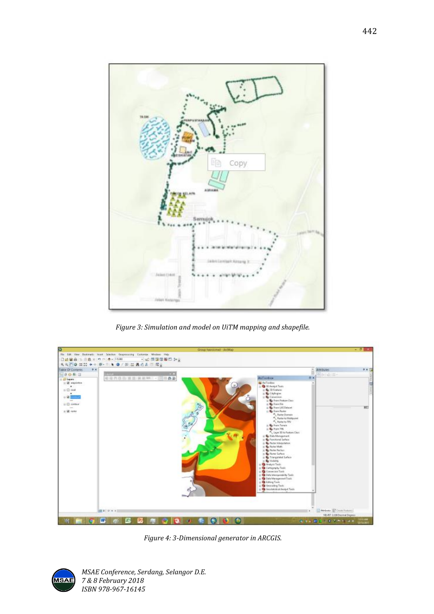

*Figure 3: Simulation and model on UiTM mapping and shapefile.*



*Figure 4: 3-Dimensional generator in ARCGIS.*



*MSAE Conference, Serdang, Selangor D.E. 7 & 8 February 2018 ISBN 978-967-16145*